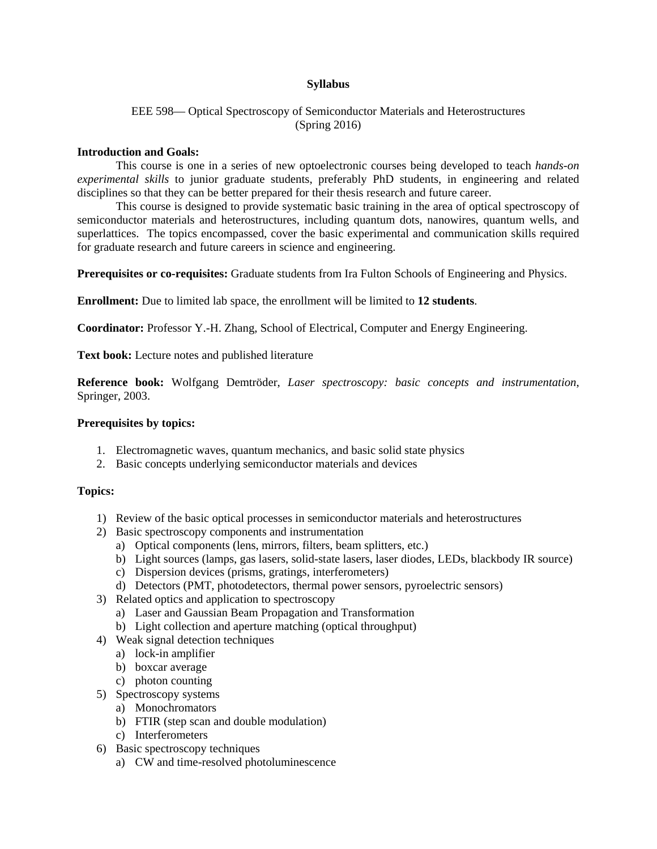## **Syllabus**

# EEE 598— Optical Spectroscopy of Semiconductor Materials and Heterostructures (Spring 2016)

### **Introduction and Goals:**

This course is one in a series of new optoelectronic courses being developed to teach *hands-on experimental skills* to junior graduate students, preferably PhD students, in engineering and related disciplines so that they can be better prepared for their thesis research and future career.

This course is designed to provide systematic basic training in the area of optical spectroscopy of semiconductor materials and heterostructures, including quantum dots, nanowires, quantum wells, and superlattices. The topics encompassed, cover the basic experimental and communication skills required for graduate research and future careers in science and engineering.

**Prerequisites or co-requisites:** Graduate students from Ira Fulton Schools of Engineering and Physics.

**Enrollment:** Due to limited lab space, the enrollment will be limited to **12 students**.

**Coordinator:** Professor Y.-H. Zhang, School of Electrical, Computer and Energy Engineering.

**Text book:** Lecture notes and published literature

**Reference book:** Wolfgang Demtröder, *Laser spectroscopy: basic concepts and instrumentation*, Springer, 2003.

### **Prerequisites by topics:**

- 1. Electromagnetic waves, quantum mechanics, and basic solid state physics
- 2. Basic concepts underlying semiconductor materials and devices

#### **Topics:**

- 1) Review of the basic optical processes in semiconductor materials and heterostructures
- 2) Basic spectroscopy components and instrumentation
	- a) Optical components (lens, mirrors, filters, beam splitters, etc.)
	- b) Light sources (lamps, gas lasers, solid-state lasers, laser diodes, LEDs, blackbody IR source)
	- c) Dispersion devices (prisms, gratings, interferometers)
	- d) Detectors (PMT, photodetectors, thermal power sensors, pyroelectric sensors)
- 3) Related optics and application to spectroscopy
	- a) Laser and Gaussian Beam Propagation and Transformation
	- b) Light collection and aperture matching (optical throughput)
- 4) Weak signal detection techniques
	- a) lock-in amplifier
	- b) boxcar average
	- c) photon counting
- 5) Spectroscopy systems
	- a) Monochromators
	- b) FTIR (step scan and double modulation)
	- c) Interferometers
- 6) Basic spectroscopy techniques
	- a) CW and time-resolved photoluminescence